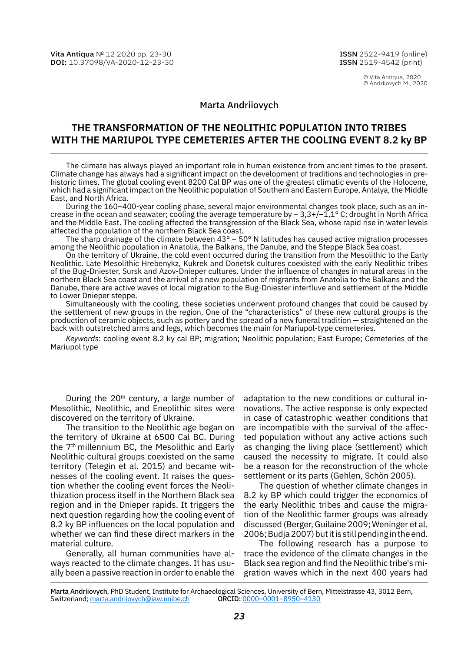© Vita Antiqua, 2020 © Andriiovych M., 2020

## Marta Andriiovych

# **THE TRANSFORMATION OF THE NEOLITHIC POPULATION INTO TRIBES WITH THE MARIUPOL TYPE CEMETERIES AFTER THE COOLING EVENT 8.2 ky BP**

The climate has always played an important role in human existence from ancient times to the present. Climate change has always had a significant impact on the development of traditions and technologies in pre‑ historic times. The global cooling event 8200 Cal BP was one of the greatest climatic events of the Holocene, which had a significant impact on the Neolithic population of Southern and Eastern Europe, Antalya, the Middle East, and North Africa.

During the 160–400-year cooling phase, several major environmental changes took place, such as an in‑ crease in the ocean and seawater; cooling the average temperature by  $\sim 3.3+/-1.1^{\circ}$  C; drought in North Africa and the Middle East. The cooling affected the transgression of the Black Sea, whose rapid rise in water levels affected the population of the northern Black Sea coast.

The sharp drainage of the climate between 43° – 50° N latitudes has caused active migration processes among the Neolithic population in Anatolia, the Balkans, the Danube, and the Steppe Black Sea coast.

On the territory of Ukraine, the cold event occurred during the transition from the Mesolithic to the Early Neolithic. Late Mesolithic Hrebenykz, Kukrek and Donetsk cultures coexisted with the early Neolithic tribes of the Bug-Dniester, Sursk and Azov-Dnieper cultures. Under the influence of changes in natural areas in the northern Black Sea coast and the arrival of a new population of migrants from Anatolia to the Balkans and the Danube, there are active waves of local migration to the Bug-Dniester interfluve and settlement of the Middle to Lower Dnieper steppe.

Simultaneously with the cooling, these societies underwent profound changes that could be caused by the settlement of new groups in the region. One of the "characteristics" of these new cultural groups is the production of ceramic objects, such as pottery and the spread of a new funeral tradition — straightened on the back with outstretched arms and legs, which becomes the main for Mariupol-type cemeteries.

*Keywords*: cooling event 8.2 ky cal BP; migration; Neolithic population; East Europe; Cemeteries of the Mariupol type

During the 20<sup>th</sup> century, a large number of Mesolithic, Neolithic, and Eneolithic sites were discovered on the territory of Ukraine.

The transition to the Neolithic age began on the territory of Ukraine at 6500 Cal BC. During the 7<sup>th</sup> millennium BC, the Mesolithic and Early Neolithic cultural groups coexisted on the same territory (Telegin et al. 2015) and became witnesses of the cooling event. It raises the question whether the cooling event forces the Neolithization process itself in the Northern Black sea region and in the Dnieper rapids. It triggers the next question regarding how the cooling event of 8.2 ky BP influences on the local population and whether we can find these direct markers in the material culture.

Generally, all human communities have al‑ ways reacted to the climate changes. It has usually been a passive reaction in order to enable the adaptation to the new conditions or cultural innovations. The active response is only expected in case of catastrophic weather conditions that are incompatible with the survival of the affected population without any active actions such as changing the living place (settlement) which caused the necessity to migrate. It could also be a reason for the reconstruction of the whole settlement or its parts (Gehlen, Schön 2005).

The question of whether climate changes in 8.2 ky BP which could trigger the economics of the early Neolithic tribes and cause the migration of the Neolithic farmer groups was already discussed (Berger, Guilaine 2009; Weninger et al. 2006; Budja 2007) but it is still pending in the end.

The following research has a purpose to trace the evidence of the climate changes in the Black sea region and find the Neolithic tribe's migration waves which in the next 400 years had

Marta Andriiovych, PhD Student, Institute for Archaeological Sciences, University of Bern, Mittelstrasse 43, 3012 Bern, Switzerland; [marta.andriiovych@iaw.unibe.ch](mailto:marta.andriiovych%40iaw.unibe.ch?subject=) ORCID: [0000–0001–8950–4130](https://orcid.org/0000-0001-8950-4130)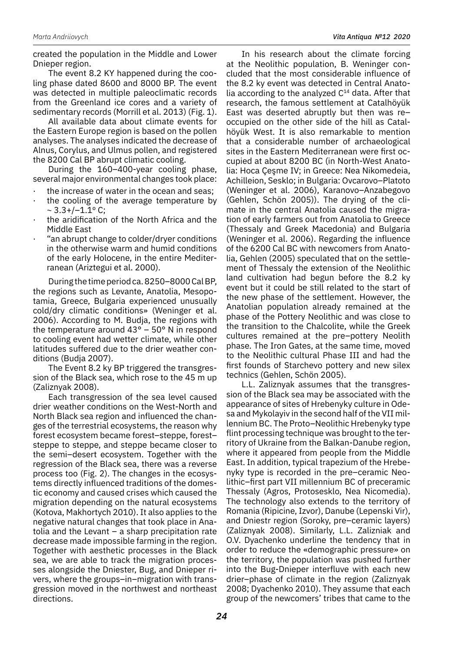created the population in the Middle and Lower Dnieper region.

The event 8.2 KY happened during the cooling phase dated 8600 and 8000 BP. The event was detected in multiple paleoclimatic records from the Greenland ice cores and a variety of sedimentary records (Morrill et al. 2013) (Fig. 1).

All available data about climate events for the Eastern Europe region is based on the pollen analyses. The analyses indicated the decrease of Alnus, Corylus, and Ulmus pollen, and registered the 8200 Cal BP abrupt climatic cooling.

During the 160–400-year cooling phase, several major environmental changes took place:

- the increase of water in the ocean and seas;
- the cooling of the average temperature by  $\sim$  3.3+/-1.1 $\rm{^{\circ}}$  C;
- the aridification of the North Africa and the Middle East
- · "an abrupt change to colder/dryer conditions in the otherwise warm and humid conditions of the early Holocene, in the entire Mediterranean (Ariztegui et al. 2000).

During the time period ca. 8250–8000 Cal BP, the regions such as Levante, Anatolia, Mesopotamia, Greece, Bulgaria experienced unusually cold/dry climatic conditions» (Weninger et al. 2006). According to M. Budja, the regions with the temperature around 43° – 50° N in respond to cooling event had wetter climate, while other latitudes suffered due to the drier weather conditions (Budja 2007).

The Event 8.2 ky BP triggered the transgression of the Black sea, which rose to the 45 m up (Zaliznyak 2008).

Each transgression of the sea level caused drier weather conditions on the West-North and North Black sea region and influenced the changes of the terrestrial ecosystems, the reason why forest ecosystem became forest–steppe, forest– steppe to steppe, and steppe became closer to the semi–desert ecosystem. Together with the regression of the Black sea, there was a reverse process too (Fig. 2). The changes in the ecosys‑ tems directly influenced traditions of the domes‑ tic economy and caused crises which caused the migration depending on the natural ecosystems (Kotova, Makhortych 2010). It also applies to the negative natural changes that took place in Ana‑ tolia and the Levant – a sharp precipitation rate decrease made impossible farming in the region. Together with aesthetic processes in the Black sea, we are able to track the migration processes alongside the Dniester, Bug, and Dnieper rivers, where the groups–in–migration with transgression moved in the northwest and northeast directions.

In his research about the climate forcing at the Neolithic population, B. Weninger concluded that the most considerable influence of the 8.2 ky event was detected in Central Anatolia according to the analyzed  $C<sup>14</sup>$  data. After that research, the famous settlement at Catalhöyük East was deserted abruptly but then was re– occupied on the other side of the hill as Catalhöyük West. It is also remarkable to mention that a considerable number of archaeological sites in the Eastern Mediterranean were first occupied at about 8200 BC (in North-West Anato‑ lia: Hoca Çeşme IV; in Greece: Nea Nikomedeia, Achilleion, Sesklo; in Bulgaria: Ovcarovo–Platoto (Weninger et al. 2006), Karanovo–Anzabegovo (Gehlen, Schön 2005)). The drying of the cli‑ mate in the central Anatolia caused the migration of early farmers out from Anatolia to Greece (Thessaly and Greek Macedonia) and Bulgaria (Weninger et al. 2006). Regarding the influence of the 6200 Cal BC with newcomers from Anatolia, Gehlen (2005) speculated that on the settle‑ ment of Thessaly the extension of the Neolithic land cultivation had begun before the 8.2 ky event but it could be still related to the start of the new phase of the settlement. However, the Anatolian population already remained at the phase of the Pottery Neolithic and was close to the transition to the Chalcolite, while the Greek cultures remained at the pre–pottery Neolith phase. The Iron Gates, at the same time, moved to the Neolithic cultural Phase III and had the first founds of Starchevo pottery and new silex technics (Gehlen, Schön 2005).

L.L. Zaliznyak assumes that the transgression of the Black sea may be associated with the appearance of sites of Hrebenyky culture in Ode‑ sa and Mykolayiv in the second half of the VII millennium BC. The Proto–Neolithic Hrebenyky type flint processing technique was brought to the territory of Ukraine from the Balkan‑Danube region, where it appeared from people from the Middle East. In addition, typical trapezium of the Hrebe‑ nyky type is recorded in the pre–ceramic Neolithic–first part VII millennium BC of preceramic Thessaly (Agros, Protosesklo, Nea Nicomedia). The technology also extends to the territory of Romania (Ripicine, Izvor), Danube (Lepenski Vir), and Dniestr region (Soroky, pre–ceramic layers) (Zaliznyak 2008). Similarly, L.L. Zalizniak and O.V. Dyachenko underline the tendency that in order to reduce the «demographic pressure» on the territory, the population was pushed further into the Bug‑Dnieper interfluve with each new drier–phase of climate in the region (Zaliznyak 2008; Dyachenko 2010). They assume that each group of the newcomers' tribes that came to the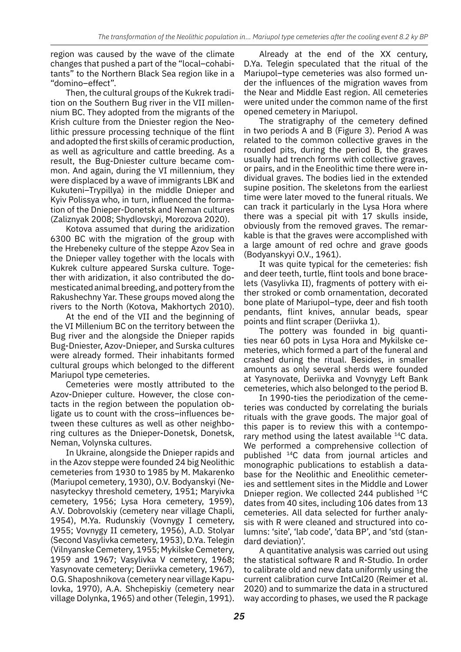region was caused by the wave of the climate changes that pushed a part of the "local-cohabitants" to the Northern Black Sea region like in a "domino–effect".

Then, the cultural groups of the Kukrek tradition on the Southern Bug river in the VII millennium BC. They adopted from the migrants of the Krish culture from the Dniester region the Neolithic pressure processing technique of the flint and adopted the first skills of ceramic production, as well as agriculture and cattle breeding. As a result, the Bug-Dniester culture became common. And again, during the VI millennium, they were displaced by a wave of immigrants LBK and Kukuteni–Trypillya) in the middle Dnieper and Kyiv Polissya who, in turn, influenced the formation of the Dnieper‑Donetsk and Neman cultures (Zaliznyak 2008; Shydlovskyi, Morozova 2020).

Kotova assumed that during the aridization 6300 BC with the migration of the group with the Hrebeneky culture of the steppe Azov Sea in the Dnieper valley together with the locals with Kukrek culture appeared Surska culture. Together with aridization, it also contributed the do‑ mesticated animal breeding, and pottery from the Rakushechny Yar. These groups moved along the rivers to the North (Kotova, Makhortych 2010).

At the end of the VII and the beginning of the VI Millenium BC on the territory between the Bug river and the alongside the Dnieper rapids Bug‑Dniester, Azov‑Dnieper, and Surska cultures were already formed. Their inhabitants formed cultural groups which belonged to the different Mariupol type cemeteries.

Cemeteries were mostly attributed to the Azov-Dnieper culture. However, the close contacts in the region between the population obligate us to count with the cross–influences be‑ tween these cultures as well as other neighboring cultures as the Dnieper‑Donetsk, Donetsk, Neman, Volynska cultures.

In Ukraine, alongside the Dnieper rapids and in the Azov steppe were founded 24 big Neolithic cemeteries from 1930 to 1985 by M. Makarenko (Mariupol cemetery, 1930), O.V. Bodyanskyi (Ne‑ nasyteckyy threshold cemetery, 1951; Maryivka cemetery, 1956; Lysa Hora cemetery, 1959), A.V. Dobrovolskiy (cemetery near village Chapli, 1954), M.Ya. Rudunskiy (Vovnygy I cemetery, 1955; Vovnygy II cemetery, 1956), A.D. Stolyar (Second Vasylivka cemetery, 1953), D.Ya. Telegin (Vilnyanske Cemetery, 1955; Mykilske Cemetery, 1959 and 1967; Vasylivka V cemetery, 1968; Yasynovate cemetery; Deriivka cemetery, 1967), O.G. Shaposhnikova (cemetery near village Kapu‑ lovka, 1970), A.A. Shchepiskiy (cemetery near village Dolynka, 1965) and other (Telegin, 1991).

Already at the end of the XX century, D.Ya. Telegin speculated that the ritual of the Mariupol–type cemeteries was also formed under the influences of the migration waves from the Near and Middle East region. All cemeteries were united under the common name of the first opened cemetery in Mariupol.

The stratigraphy of the cemetery defined in two periods A and B (Figure 3). Period A was related to the common collective graves in the rounded pits, during the period B, the graves usually had trench forms with collective graves, or pairs, and in the Eneolithic time there were in‑ dividual graves. The bodies lied in the extended supine position. The skeletons from the earliest time were later moved to the funeral rituals. We can track it particularly in the Lysa Hora where there was a special pit with 17 skulls inside, obviously from the removed graves. The remarkable is that the graves were accomplished with a large amount of red ochre and grave goods (Bodyanskyyi O.V., 1961).

It was quite typical for the cemeteries: fish and deer teeth, turtle, flint tools and bone brace‑ lets (Vasylivka II), fragments of pottery with ei‑ ther stroked or comb ornamentation, decorated bone plate of Mariupol–type, deer and fish tooth pendants, flint knives, annular beads, spear points and flint scraper (Deriivka 1).

The pottery was founded in big quantities near 60 pots in Lysa Hora and Mykilske cemeteries, which formed a part of the funeral and crashed during the ritual. Besides, in smaller amounts as only several sherds were founded at Yasynovate, Deriivka and Vovnygy Left Bank cemeteries, which also belonged to the period B.

In 1990-ties the periodization of the cemeteries was conducted by correlating the burials rituals with the grave goods. The major goal of this paper is to review this with a contemporary method using the latest available  $14C$  data. We performed a comprehensive collection of published 14C data from journal articles and monographic publications to establish a database for the Neolithic and Eneolithic cemeteries and settlement sites in the Middle and Lower Dnieper region. We collected 244 published 14C dates from 40 sites, including 106 dates from 13 cemeteries. All data selected for further analysis with R were cleaned and structured into columns: 'site', 'lab code', 'data BP', and 'std (stan‑ dard deviation)'.

A quantitative analysis was carried out using the statistical software R and R-Studio. In order to calibrate old and new data uniformly using the current calibration curve IntCal20 (Reimer et al. 2020) and to summarize the data in a structured way according to phases, we used the R package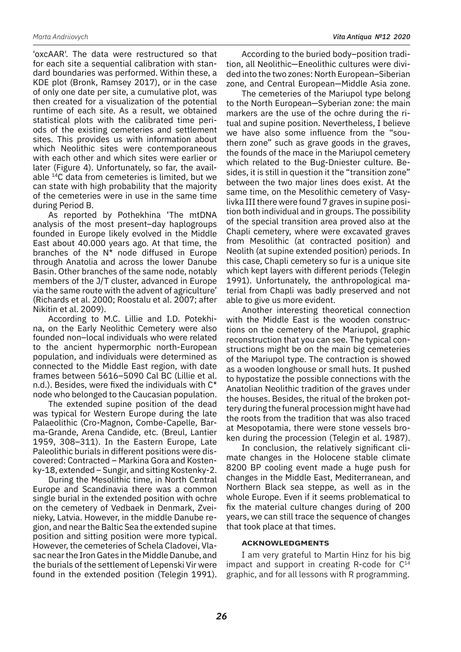'oxcAAR'. The data were restructured so that for each site a sequential calibration with standard boundaries was performed. Within these, a KDE plot (Bronk, Ramsey 2017), or in the case of only one date per site, a cumulative plot, was then created for a visualization of the potential runtime of each site. As a result, we obtained statistical plots with the calibrated time periods of the existing cemeteries and settlement sites. This provides us with information about which Neolithic sites were contemporaneous with each other and which sites were earlier or later (Figure 4). Unfortunately, so far, the available 14C data from cemeteries is limited, but we can state with high probability that the majority of the cemeteries were in use in the same time during Period B.

As reported by Pothekhina 'The mtDNA analysis of the most present–day haplogroups founded in Europe likely evolved in the Middle East about 40.000 years ago. At that time, the branches of the  $N^*$  node diffused in Europe through Anatolia and across the lower Danube Basin. Other branches of the same node, notably members of the J/T cluster, advanced in Europe via the same route with the advent of agriculture' (Richards et al. 2000; Roostalu et al. 2007; after Nikitin et al. 2009).

According to M.C. Lillie and I.D. Potekhina, on the Early Neolithic Cemetery were also founded non–local individuals who were related to the ancient hypermorphic north-European population, and individuals were determined as connected to the Middle East region, with date frames between 5616–5090 Cal BC (Lillie et al. n.d.). Besides, were fixed the individuals with C\* node who belonged to the Caucasian population.

The extended supine position of the dead was typical for Western Europe during the late Palaeolithic (Cro-Magnon, Combe-Capelle, Barma-Grande, Arena Candide, etc. (Breul, Lantier 1959, 308–311). In the Eastern Europe, Late Paleolithic burials in different positions were discovered: Contracted - Markina Gora and Kostenky‑18, extended – Sungir, and sitting Kostenky‑2.

During the Mesolithic time, in North Central Europe and Scandinavia there was a common single burial in the extended position with ochre on the cemetery of Vedbaek in Denmark, Zveinieky, Latvia. However, in the middle Danube re‑ gion, and near the Baltic Sea the extended supine position and sitting position were more typical. However, the cemeteries of Schela Cladovei, Vlasac near the Iron Gates in the Middle Danube, and the burials of the settlement of Lepenski Vir were found in the extended position (Telegin 1991).

According to the buried body–position tradi‑ tion, all Neolithic—Eneolithic cultures were divided into the two zones: North European–Siberian zone, and Central European—Middle Asia zone.

The cemeteries of the Mariupol type belong to the North European—Syberian zone: the main markers are the use of the ochre during the ritual and supine position. Nevertheless, I believe we have also some influence from the "southern zone" such as grave goods in the graves, the founds of the mace in the Mariupol cemetery which related to the Bug-Dniester culture. Besides, it is still in question it the "transition zone" between the two major lines does exist. At the same time, on the Mesolithic cemetery of Vasylivka III there were found 7 graves in supine position both individual and in groups. The possibility of the special transition area proved also at the Chapli cemetery, where were excavated graves from Mesolithic (at contracted position) and Neolith (at supine extended position) periods. In this case, Chapli cemetery so fur is a unique site which kept layers with different periods (Telegin 1991). Unfortunately, the anthropological material from Chapli was badly preserved and not able to give us more evident.

Another interesting theoretical connection with the Middle East is the wooden constructions on the cemetery of the Mariupol, graphic reconstruction that you can see. The typical constructions might be on the main big cemeteries of the Mariupol type. The contraction is showed as a wooden longhouse or small huts. It pushed to hypostatize the possible connections with the Anatolian Neolithic tradition of the graves under the houses. Besides, the ritual of the broken pottery during the funeral procession might have had the roots from the tradition that was also traced at Mesopotamia, there were stone vessels broken during the procession (Telegin et al. 1987).

In conclusion, the relatively significant climate changes in the Holocene stable climate 8200 BP cooling event made a huge push for changes in the Middle East, Mediterranean, and Northern Black sea steppe, as well as in the whole Europe. Even if it seems problematical to fix the material culture changes during of 200 years, we can still trace the sequence of changes that took place at that times.

## **Acknowledgments**

I am very grateful to Martin Hinz for his big impact and support in creating R-code for  $C^{14}$ graphic, and for all lessons with R programming.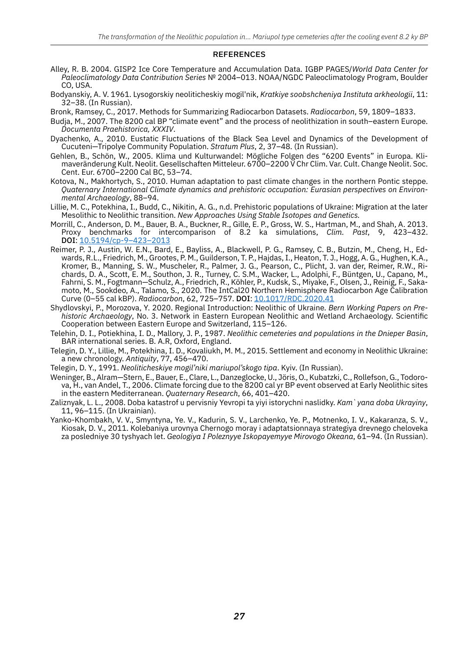#### **REFERENCES**

- Alley, R. B. 2004. GISP2 Ice Core Temperature and Accumulation Data. IGBP PAGES/*World Data Center for Paleoclimatology Data Contribution Series* № 2004–013. NOAA/NGDC Paleoclimatology Program, Boulder CO, USA.
- Bodyanskiy, A. V. 1961. Lysogorskiy neoliticheskiy mogil'nik, *Kratkiye soobshcheniya Instituta arkheologii*, 11: 32–38. (In Russian).
- Bronk, Ramsey, C., 2017. Methods for Summarizing Radiocarbon Datasets. *Radiocarbon*, 59, 1809–1833.
- Budja, M., 2007. The 8200 cal BP "climate event" and the process of neolithization in south–eastern Europe. *Documenta Praehistorica, XXXIV*.
- Dyachenko, A., 2010. Eustatic Fluctuations of the Black Sea Level and Dynamics of the Development of Cucuteni—Tripolye Сommunity Population. *Stratum Plus*, 2, 37–48. (In Russian).
- Gehlen, B., Schön, W., 2005. Klima und Kulturwandel: Mögliche Folgen des "6200 Events" in Europa. Klimaveränderung Kult. Neolit. Gesellschaften Mitteleur. 6700–2200 V Chr Clim. Var. Cult. Change Neolit. Soc. Cent. Eur. 6700–2200 Cal BC, 53–74.
- Kotova, N., Makhortych, S., 2010. Human adaptation to past climate changes in the northern Pontic steppe. *Quaternary International Climate dynamics and prehistoric occupation: Eurasian perspectives on Environmental Archaeology*, 88–94.
- Lillie, M. C., Potekhina, I., Budd, C., Nikitin, A. G., n.d. Prehistoric populations of Ukraine: Migration at the later Mesolithic to Neolithic transition. *New Approaches Using Stable Isotopes and Genetics.*
- Morrill, C., Anderson, D. M., Bauer, B. A., Buckner, R., Gille, E. P., Gross, W. S., Hartman, M., and Shah, A. 2013. Proxy benchmarks for intercomparison of 8.2 ka simulations, *Clim. Past*, 9, 423–432. DOI: 10.5194/cp-9-423-2013
- Reimer, P. J., Austin, W. E.N., Bard, E., Bayliss, A., Blackwell, P. G., Ramsey, C. B., Butzin, M., Cheng, H., Ed‑ wards, R.L., Friedrich, M., Grootes, P. M., Guilderson, T. P., Hajdas, I., Heaton, T. J., Hogg, A. G., Hughen, K.A., Kromer, B., Manning, S. W., Muscheler, R., Palmer, J. G., Pearson, C., Plicht, J. van der, Reimer, R.W., Richards, D. A., Scott, E. M., Southon, J. R., Turney, C. S.M., Wacker, L., Adolphi, F., Büntgen, U., Capano, M., Fahrni, S. M., Fogtmann—Schulz, A., Friedrich, R., Köhler, P., Kudsk, S., Miyake, F., Olsen, J., Reinig, F., Saka‑ moto, M., Sookdeo, A., Talamo, S., 2020. The IntCal20 Northern Hemisphere Radiocarbon Age Calibration Curve (0–55 cal kBP). *Radiocarbon*, 62, 725–757. doi: [10.1017/RDC.2020.41](https://doi.org/10.1017/RDC.2020.41
)
- Shydlovskyi, P., Morozova, Y. 2020. Regional Introduction: Neolithic of Ukraine. *Bern Working Papers on Prehistoric Archaeology*, No. 3. Network in Eastern European Neolithic and Wetland Archaeology. Scientific Cooperation between Eastern Europe and Switzerland, 115–126.
- Telehin, D. I., Potiekhina, I. D., Mallory, J. P., 1987. *Neolithic cemeteries and populations in the Dnieper Basin*, BAR international series. B. A.R, Oxford, England.
- Telegin, D. Y., Lillie, M., Potekhina, I. D., Kovaliukh, M. M., 2015. Settlement and economy in Neolithic Ukraine: a new chronology. *Antiquity*, 77, 456–470.
- Telegin, D. Y., 1991. *Neoliticheskiye mogil'niki mariupol'skogo tipa*. Kyiv. (In Russian).
- Weninger, B., Alram—Stern, E., Bauer, E., Clare, L., Danzeglocke, U., Jöris, O., Kubatzki, C., Rollefson, G., Todorova, H., van Andel, T., 2006. Climate forcing due to the 8200 cal yr BP event observed at Early Neolithic sites in the eastern Mediterranean. *Quaternary Research*, 66, 401–420.
- Zaliznyak, L. L., 2008. Doba katastrof u pervisniy Yevropi ta yiyi istorychni naslidky. *Kam`yana doba Ukrayiny*, 11, 96–115. (In Ukrainian).
- Yanko-Khombakh, V. V., Smyntyna, Ye. V., Kadurin, S. V., Larchenko, Ye. P., Motnenko, I. V., Kakaranza, S. V., Kiosak, D. V., 2011. Kolebaniya urovnya Chernogo moray i adaptatsionnaya strategiya drevnego cheloveka za posledniye 30 tyshyach let. *Geologiya I Poleznyye Iskopayemyye Mirovogo Okeana*, 61–94. (In Russian).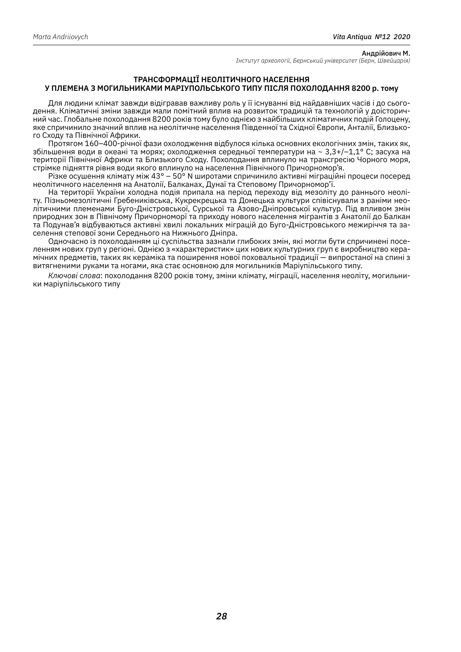#### **ТРАНСФОРМАЦІЇ НЕОЛІТИЧНОГО НАСЕЛЕННЯ У ПЛЕМЕНА З МОГИЛЬНИКАМИ МАРІУПОЛЬСЬКОГО ТИПУ ПІСЛЯ ПОХОЛОДАННЯ 8200 р. тому**

Для людини клімат завжди відігравав важливу роль у її існуванні від найдавніших часів і до сьогодення. Кліматичні зміни завжди мали помітний вплив на розвиток традицій та технологій у доісторич‑ ний час. Глобальне похолодання 8200 років тому було однією з найбільших кліматичних подій Голоцену, яке спричинило значний вплив на неолітичне населення Південної та Східної Європи, Анталії, Близького Сходу та Північної Африки.

Протягом 160–400-річної фази охолодження відбулося кілька основних екологічних змін, таких як, збільшення води в океані та морях; охолодження середньої температури на ~ 3,3+/–1,1° C; засуха на території Північної Африки та Близького Сходу. Похолодання вплинуло на трансгресію Чорного моря, стрімке підняття рівня води якого вплинуло на населення Північного Причорномор'я.

Різке осушення клімату між 43° – 50° N широтами спричинило активні міграційні процеси посеред неолітичного населення на Анатолії, Балканах, Дунаї та Степовому Причорномор'ї.

На території України холодна подія припала на період переходу від мезоліту до раннього неоліту. Пізньомезолітичні Гребениківська, Кукрекрецька та Донецька культури співіснували з раніми нео‑ літичними племенами Буго-Дністровської, Сурської та Азово-Дніпровської культур. Під впливом змін природних зон в Північому Причорноморї та приходу нового населення мігрантів з Анатолії до Балкан та Подунав'я відбуваються активні хвилі локальних міграцій до Буго-Дністровського межиріччя та за‑ селення степової зони Середнього на Нижнього Дніпра.

Одночасно із похолоданням ці суспільства зазнали глибоких змін, які могли бути спричинені посе‑ ленням нових груп у регіоні. Однією з «характеристик» цих нових культурних груп є виробництво кера‑ мічних предметів, таких як кераміка та поширення нової поховальної традиції — випростаної на спині з витягненими руками та ногами, яка стає основною для могильників Маріупільського типу.

*Ключові слова*: похолодання 8200 років тому, зміни клімату, міграції, населення неоліту, могильни‑ ки маріупільського типу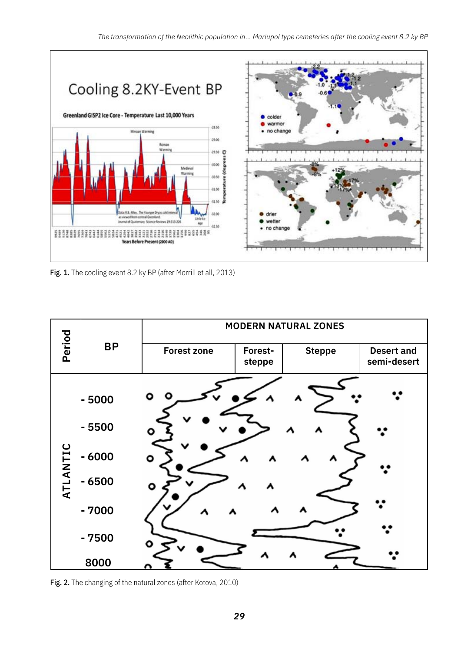

Fig. 1. The cooling event 8.2 ky BP (after Morrill et all, 2013)